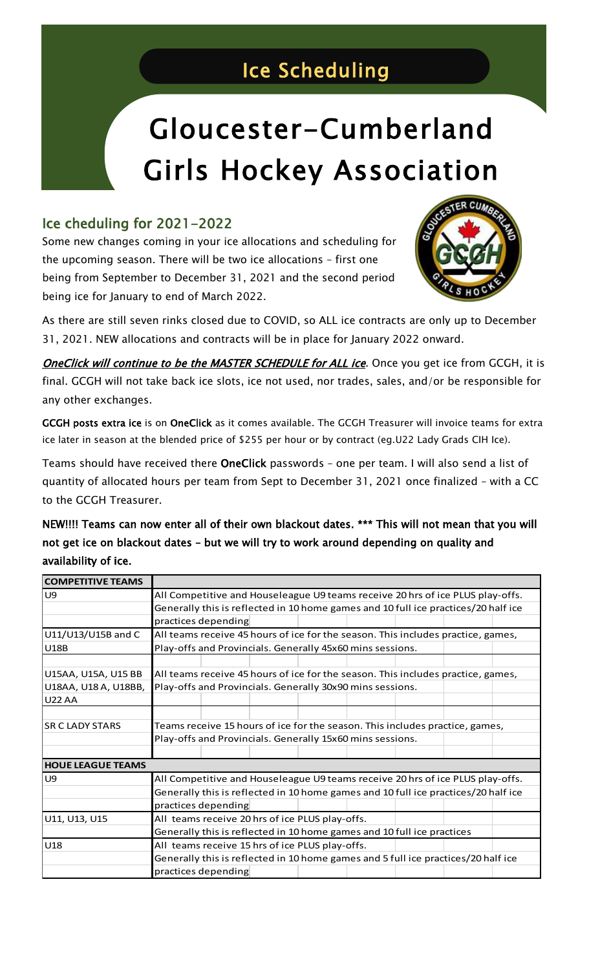## Ice Scheduling

i<br>I

## Gloucester-Cumberland Girls Hockey Association

## Ice cheduling for 2021-2022

Some new changes coming in your ice allocations and scheduling for the upcoming season. There will be two ice allocations – first one being from September to December 31, 2021 and the second period being ice for January to end of March 2022.



As there are still seven rinks closed due to COVID, so ALL ice contracts are only up to December 31, 2021. NEW allocations and contracts will be in place for January 2022 onward.

**OneClick will continue to be the MASTER SCHEDULE for ALL ice**. Once you get ice from GCGH, it is final. GCGH will not take back ice slots, ice not used, nor trades, sales, and/or be responsible for any other exchanges.

GCGH posts extra ice is on OneClick as it comes available. The GCGH Treasurer will invoice teams for extra ice later in season at the blended price of \$255 per hour or by contract (eg.U22 Lady Grads CIH Ice).

Teams should have received there OneClick passwords – one per team. I will also send a list of quantity of allocated hours per team from Sept to December 31, 2021 once finalized – with a CC to the GCGH Treasurer.

NEW!!!! Teams can now enter all of their own blackout dates. \*\*\* This will not mean that you will not get ice on blackout dates – but we will try to work around depending on quality and availability of ice.

| <b>COMPETITIVE TEAMS</b> |                                                                                    |  |  |
|--------------------------|------------------------------------------------------------------------------------|--|--|
| U9                       | All Competitive and Houseleague U9 teams receive 20 hrs of ice PLUS play-offs.     |  |  |
|                          | Generally this is reflected in 10 home games and 10 full ice practices/20 half ice |  |  |
|                          | practices depending                                                                |  |  |
| U11/U13/U15B and C       | All teams receive 45 hours of ice for the season. This includes practice, games,   |  |  |
| <b>U18B</b>              | Play-offs and Provincials. Generally 45x60 mins sessions.                          |  |  |
|                          |                                                                                    |  |  |
| U15AA, U15A, U15 BB      | All teams receive 45 hours of ice for the season. This includes practice, games,   |  |  |
| U18AA, U18 A, U18BB,     | Play-offs and Provincials. Generally 30x90 mins sessions.                          |  |  |
| <b>U22 AA</b>            |                                                                                    |  |  |
|                          |                                                                                    |  |  |
| <b>SR C LADY STARS</b>   | Teams receive 15 hours of ice for the season. This includes practice, games,       |  |  |
|                          | Play-offs and Provincials. Generally 15x60 mins sessions.                          |  |  |
|                          |                                                                                    |  |  |
| <b>HOUE LEAGUE TEAMS</b> |                                                                                    |  |  |
| U <sub>9</sub>           | All Competitive and Houseleague U9 teams receive 20 hrs of ice PLUS play-offs.     |  |  |
|                          | Generally this is reflected in 10 home games and 10 full ice practices/20 half ice |  |  |
|                          | practices depending                                                                |  |  |
| U11, U13, U15            | All teams receive 20 hrs of ice PLUS play-offs.                                    |  |  |
|                          | Generally this is reflected in 10 home games and 10 full ice practices             |  |  |
| U18                      | All teams receive 15 hrs of ice PLUS play-offs.                                    |  |  |
|                          | Generally this is reflected in 10 home games and 5 full ice practices/20 half ice  |  |  |
|                          | practices depending                                                                |  |  |